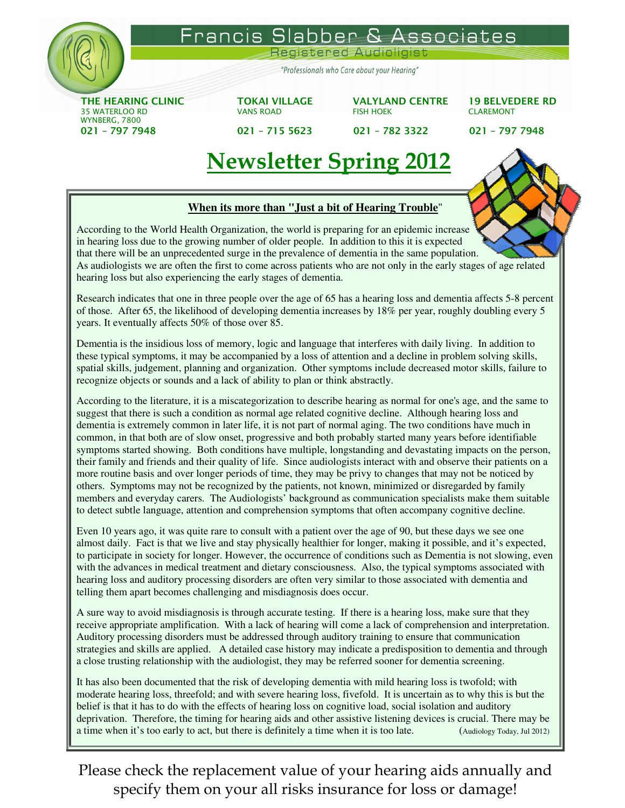

rancis Associates her  $\mathsf{a}$ 

egistered

"Professionals who Care about your Hearing"

THE HEARING CLINIC TOKAI VILLAGE VALYLAND CENTRE 19 BELVEDERE RD 35 WATERLOO RD VANS ROAD FISH HOEK CLAREMONT WYNBERG, 7800 021 – 797 7948 021 – 715 5623 021 – 782 3322 021 – 797 7948



# Newsletter Spring 2012

## **When its more than "Just a bit of Hearing Trouble**"

According to the World Health Organization, the world is preparing for an epidemic increase in hearing loss due to the growing number of older people. In addition to this it is expected that there will be an unprecedented surge in the prevalence of dementia in the same population. As audiologists we are often the first to come across patients who are not only in the early stages of age related hearing loss but also experiencing the early stages of dementia.

Research indicates that one in three people over the age of 65 has a hearing loss and dementia affects 5-8 percent of those. After 65, the likelihood of developing dementia increases by 18% per year, roughly doubling every 5 years. It eventually affects 50% of those over 85.

Dementia is the insidious loss of memory, logic and language that interferes with daily living. In addition to these typical symptoms, it may be accompanied by a loss of attention and a decline in problem solving skills, spatial skills, judgement, planning and organization. Other symptoms include decreased motor skills, failure to recognize objects or sounds and a lack of ability to plan or think abstractly.

According to the literature, it is a miscategorization to describe hearing as normal for one's age, and the same to suggest that there is such a condition as normal age related cognitive decline. Although hearing loss and dementia is extremely common in later life, it is not part of normal aging. The two conditions have much in common, in that both are of slow onset, progressive and both probably started many years before identifiable symptoms started showing. Both conditions have multiple, longstanding and devastating impacts on the person, their family and friends and their quality of life. Since audiologists interact with and observe their patients on a more routine basis and over longer periods of time, they may be privy to changes that may not be noticed by others. Symptoms may not be recognized by the patients, not known, minimized or disregarded by family members and everyday carers. The Audiologists' background as communication specialists make them suitable to detect subtle language, attention and comprehension symptoms that often accompany cognitive decline.

Even 10 years ago, it was quite rare to consult with a patient over the age of 90, but these days we see one almost daily. Fact is that we live and stay physically healthier for longer, making it possible, and it's expected, to participate in society for longer. However, the occurrence of conditions such as Dementia is not slowing, even with the advances in medical treatment and dietary consciousness. Also, the typical symptoms associated with hearing loss and auditory processing disorders are often very similar to those associated with dementia and telling them apart becomes challenging and misdiagnosis does occur.

A sure way to avoid misdiagnosis is through accurate testing. If there is a hearing loss, make sure that they receive appropriate amplification. With a lack of hearing will come a lack of comprehension and interpretation. Auditory processing disorders must be addressed through auditory training to ensure that communication strategies and skills are applied. A detailed case history may indicate a predisposition to dementia and through a close trusting relationship with the audiologist, they may be referred sooner for dementia screening.

It has also been documented that the risk of developing dementia with mild hearing loss is twofold; with moderate hearing loss, threefold; and with severe hearing loss, fivefold. It is uncertain as to why this is but the belief is that it has to do with the effects of hearing loss on cognitive load, social isolation and auditory deprivation. Therefore, the timing for hearing aids and other assistive listening devices is crucial. There may be a time when it's too early to act, but there is definitely a time when it is too late. (Audiology Today, Jul 2012)

Please check the replacement value of your hearing aids annually and specify them on your all risks insurance for loss or damage!